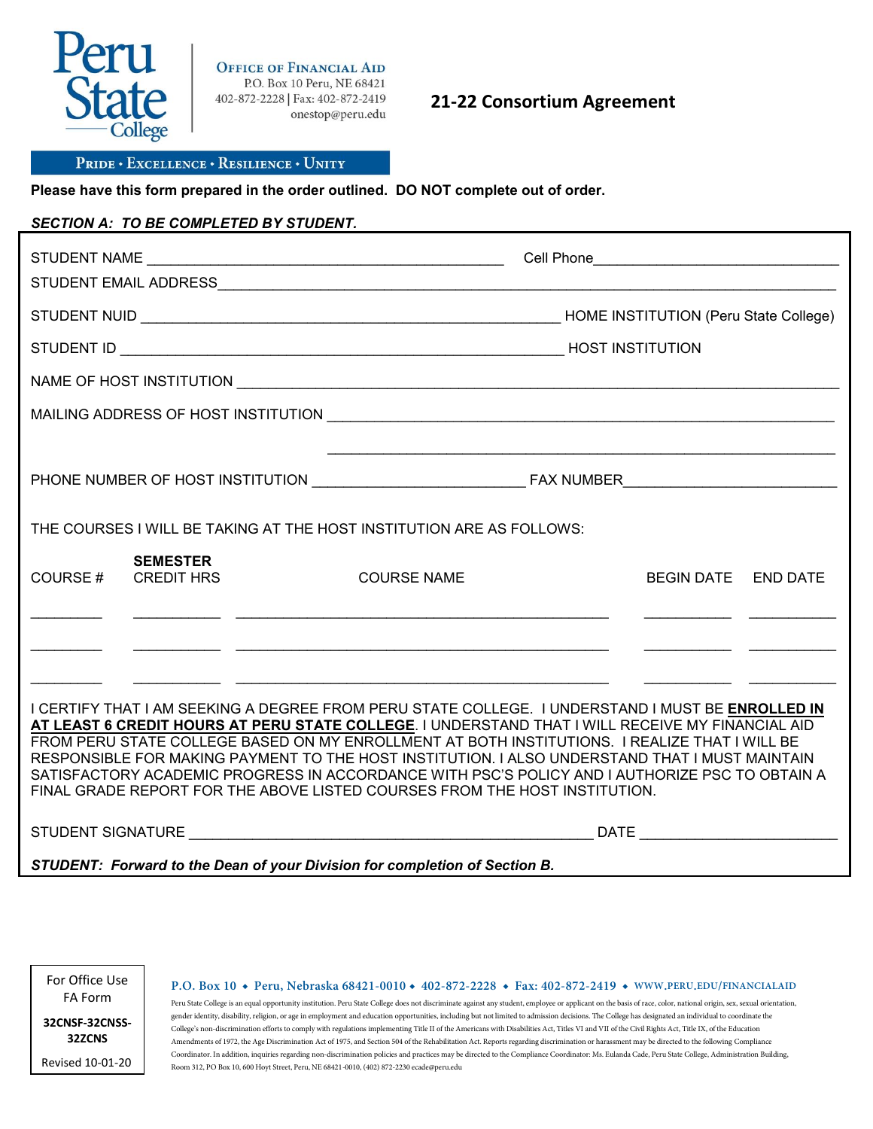

**OFFICE OF FINANCIAL AID** P.O. Box 10 Peru, NE 68421 402-872-2228 | Fax: 402-872-2419 onestop@peru.edu

**21-22 Consortium Agreement**

#### PRIDE . EXCELLENCE . RESILIENCE . UNITY

**Please have this form prepared in the order outlined. DO NOT complete out of order.**

### *SECTION A: TO BE COMPLETED BY STUDENT.*

| THE COURSES I WILL BE TAKING AT THE HOST INSTITUTION ARE AS FOLLOWS:                                                                                                                                                                                                                                                                                                                                                                                                                                                                                                                    |                                      |  |                                                                                                                       |                                                                                                               |                     |  |  |  |
|-----------------------------------------------------------------------------------------------------------------------------------------------------------------------------------------------------------------------------------------------------------------------------------------------------------------------------------------------------------------------------------------------------------------------------------------------------------------------------------------------------------------------------------------------------------------------------------------|--------------------------------------|--|-----------------------------------------------------------------------------------------------------------------------|---------------------------------------------------------------------------------------------------------------|---------------------|--|--|--|
| COURSE#                                                                                                                                                                                                                                                                                                                                                                                                                                                                                                                                                                                 | <b>SEMESTER</b><br><b>CREDIT HRS</b> |  | <b>COURSE NAME</b>                                                                                                    |                                                                                                               | BEGIN DATE END DATE |  |  |  |
|                                                                                                                                                                                                                                                                                                                                                                                                                                                                                                                                                                                         |                                      |  | <u> 1990 - Jan James James James James James James James James James James James James James James James James Ja</u> |                                                                                                               |                     |  |  |  |
| I CERTIFY THAT I AM SEEKING A DEGREE FROM PERU STATE COLLEGE. I UNDERSTAND I MUST BE ENROLLED IN<br>AT LEAST 6 CREDIT HOURS AT PERU STATE COLLEGE. I UNDERSTAND THAT I WILL RECEIVE MY FINANCIAL AID<br>FROM PERU STATE COLLEGE BASED ON MY ENROLLMENT AT BOTH INSTITUTIONS. I REALIZE THAT I WILL BE<br>RESPONSIBLE FOR MAKING PAYMENT TO THE HOST INSTITUTION. I ALSO UNDERSTAND THAT I MUST MAINTAIN<br>SATISFACTORY ACADEMIC PROGRESS IN ACCORDANCE WITH PSC'S POLICY AND I AUTHORIZE PSC TO OBTAIN A<br>FINAL GRADE REPORT FOR THE ABOVE LISTED COURSES FROM THE HOST INSTITUTION. |                                      |  |                                                                                                                       |                                                                                                               |                     |  |  |  |
| STUDENT SIGNATURE AND THE STUDENT SIGNATURE.                                                                                                                                                                                                                                                                                                                                                                                                                                                                                                                                            |                                      |  |                                                                                                                       | DATE And the state of the state of the state of the state of the state of the state of the state of the state |                     |  |  |  |
| STUDENT: Forward to the Dean of your Division for completion of Section B.                                                                                                                                                                                                                                                                                                                                                                                                                                                                                                              |                                      |  |                                                                                                                       |                                                                                                               |                     |  |  |  |

For Office Use FA Form

**32CNSF-32CNSS-**

**P.O. Box 10 ◆ Peru, Nebraska 68421-0010 ◆ 402-872-2228 ◆ Fax: 402-872-2419 ◆ WWW.PERU.EDU/FINANCIALAID**

Peru State College is an equal opportunity institution. Peru State College does not discriminate against any student, employee or applicant on the basis of race, color, national origin, sex, sexual orientation, gender identity, disability, religion, or age in employment and education opportunities, including but not limited to admission decisions. The College has designated an individual to coordinate the College's non-discrimination efforts to comply with regulations implementing Title II of the Americans with Disabilities Act, Titles VI and VII of the Civil Rights Act, Title IX, of the Education Amendments of 1972, the Age Discrimination Act of 1975, and Section 504 of the Rehabilitation Act. Reports regarding discrimination or harassment may be directed to the following Compliance Coordinator. In addition, inquiries regarding non-discrimination policies and practices may be directed to the Compliance Coordinator: Ms. Eulanda Cade, Peru State College, Administration Building, Room 312, PO Box 10, 600 Hoyt Street, Peru, NE 68421-0010, (402) 872-2230 ecade@peru.edu

**32ZCNS** Revised 10-01-20